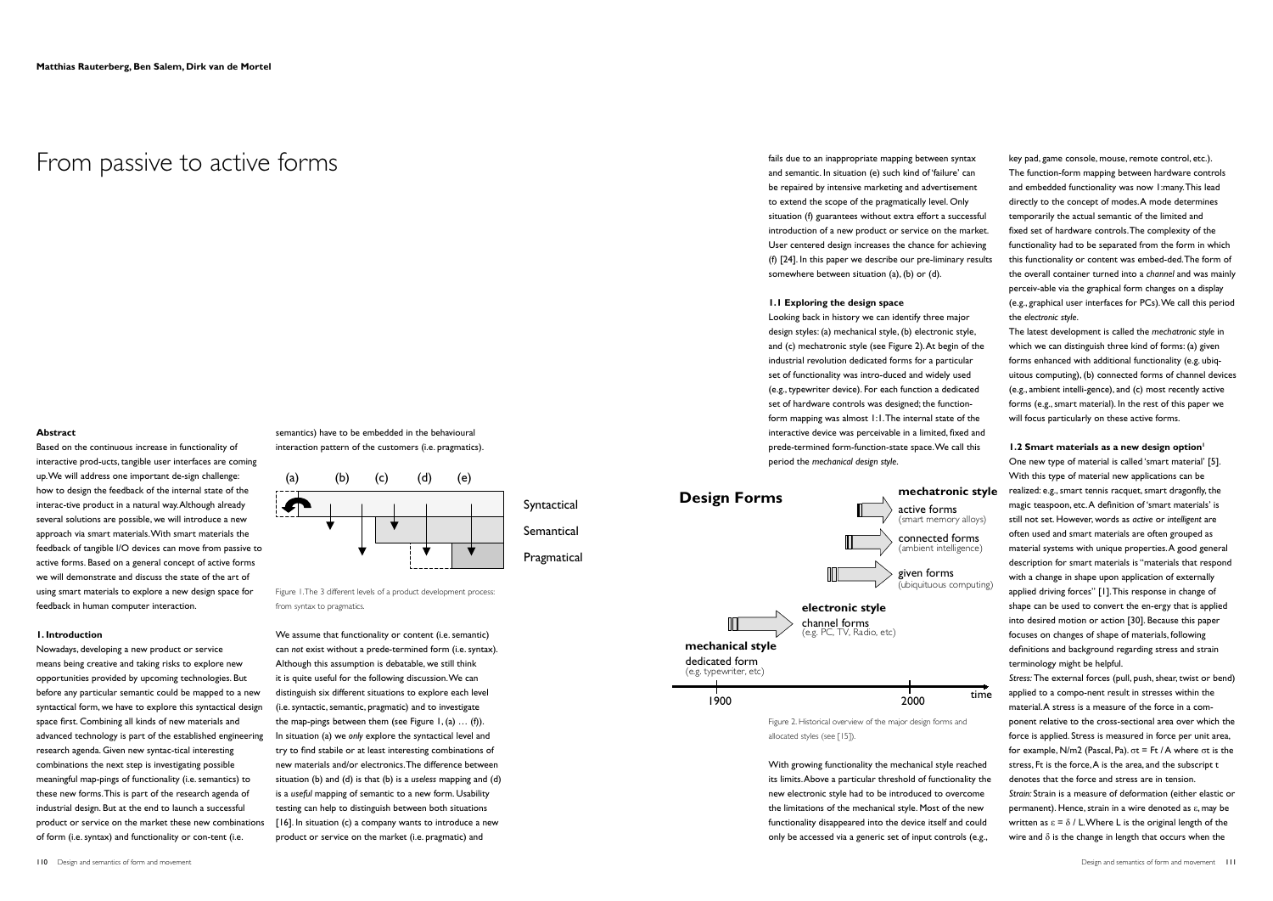fails due to an inappropriate mapping between syntax and semantic. In situation (e) such kind of 'failure' can be repaired by intensive marketing and advertisement to extend the scope of the pragmatically level. Only situation (f) guarantees without extra effort a successful introduction of a new product or service on the market. User centered design increases the chance for achieving (f) [24]. In this paper we describe our pre-liminary results somewhere between situation (a), (b) or (d).

## **1.1 Exploring the design space**

Looking back in history we can identify three major design styles: (a) mechanical style, (b) electronic style, and (c) mechatronic style (see Figure 2). At begin of the industrial revolution dedicated forms for a particular set of functionality was intro-duced and widely used (e.g., typewriter device). For each function a dedicated set of hardware controls was designed; the functionform mapping was almost 1:1. The internal state of the interactive device was perceivable in a limited, fixed and prede-termined form-function-state space. We call this period the *mechanical design style*.

Figure 2. Historical overview of the major design forms and allocated styles (see [15]).

With growing functionality the mechanical style reached its limits. Above a particular threshold of functionality the new electronic style had to be introduced to overcome the limitations of the mechanical style. Most of the new functionality disappeared into the device itself and could only be accessed via a generic set of input controls (e.g.,

*Stress:* The external forces (pull, push, shear, twist or bend) applied to a compo-nent result in stresses within the material. A stress is a measure of the force in a component relative to the cross-sectional area over which the force is applied. Stress is measured in force per unit area, for example, N/m2 (Pascal, Pa). σt = Ft / A where σt is the stress, Ft is the force, A is the area, and the subscript t denotes that the force and stress are in tension. *Strain:* Strain is a measure of deformation (either elastic or permanent). Hence, strain in a wire denoted as ε, may be written as  $\epsilon = \delta / L$ . Where L is the original length of the wire and  $\delta$  is the change in length that occurs when the

key pad, game console, mouse, remote control, etc.). The function-form mapping between hardware controls and embedded functionality was now 1:many. This lead directly to the concept of modes. A mode determines temporarily the actual semantic of the limited and fixed set of hardware controls. The complexity of the functionality had to be separated from the form in which this functionality or content was embed-ded. The form of the overall container turned into a *channel* and was mainly perceiv-able via the graphical form changes on a display (e.g., graphical user interfaces for PCs). We call this period the *electronic style*.

The latest development is called the *mechatronic style* in which we can distinguish three kind of forms: (a) given forms enhanced with additional functionality (e.g. ubiquitous computing), (b) connected forms of channel devices (e.g., ambient intelli-gence), and (c) most recently active forms (e.g., smart material). In the rest of this paper we will focus particularly on these active forms.

**1.2 Smart materials as a new design option<sup>1</sup>** 

One new type of material is called 'smart material' [5]. With this type of material new applications can be **mechatronic style** realized: e.g., smart tennis racquet, smart dragonfly, the magic teaspoon, etc. A definition of 'smart materials' is still not set. However, words as *active* or *intelligent* are often used and smart materials are often grouped as material systems with unique properties. A good general description for smart materials is "materials that respond with a change in shape upon application of externally applied driving forces" [1]. This response in change of shape can be used to convert the en-ergy that is applied into desired motion or action [30]. Because this paper focuses on changes of shape of materials, following definitions and background regarding stress and strain terminology might be helpful.



## From passive to active forms

## **Abstract**

Based on the continuous increase in functionality of interactive prod-ucts, tangible user interfaces are coming up. We will address one important de-sign challenge: how to design the feedback of the internal state of the interac-tive product in a natural way. Although already several solutions are possible, we will introduce a new approach via smart materials. With smart materials the feedback of tangible I/O devices can move from passive to active forms. Based on a general concept of active forms we will demonstrate and discuss the state of the art of using smart materials to explore a new design space for feedback in human computer interaction.

## **1. Introduction**

Nowadays, developing a new product or service means being creative and taking risks to explore new opportunities provided by upcoming technologies. But before any particular semantic could be mapped to a new syntactical form, we have to explore this syntactical design space first. Combining all kinds of new materials and advanced technology is part of the established engineering research agenda. Given new syntac-tical interesting combinations the next step is investigating possible meaningful map-pings of functionality (i.e. semantics) to these new forms. This is part of the research agenda of industrial design. But at the end to launch a successful product or service on the market these new combinations of form (i.e. syntax) and functionality or con-tent (i.e.

semantics) have to be embedded in the behavioural interaction pattern of the customers (i.e. pragmatics).

Figure 1. The 3 different levels of a product development process: from syntax to pragmatics.

We assume that functionality or content (i.e. semantic) can *not* exist without a prede-termined form (i.e. syntax). Although this assumption is debatable, we still think it is quite useful for the following discussion. We can distinguish six different situations to explore each level (i.e. syntactic, semantic, pragmatic) and to investigate the map-pings between them (see Figure  $1, (a) \ldots (f)$ ). In situation (a) we *only* explore the syntactical level and try to find stabile or at least interesting combinations of new materials and/or electronics. The difference between situation (b) and (d) is that (b) is a *useless* mapping and (d) is a *useful* mapping of semantic to a new form. Usability testing can help to distinguish between both situations [16]. In situation (c) a company wants to introduce a new product or service on the market (i.e. pragmatic) and

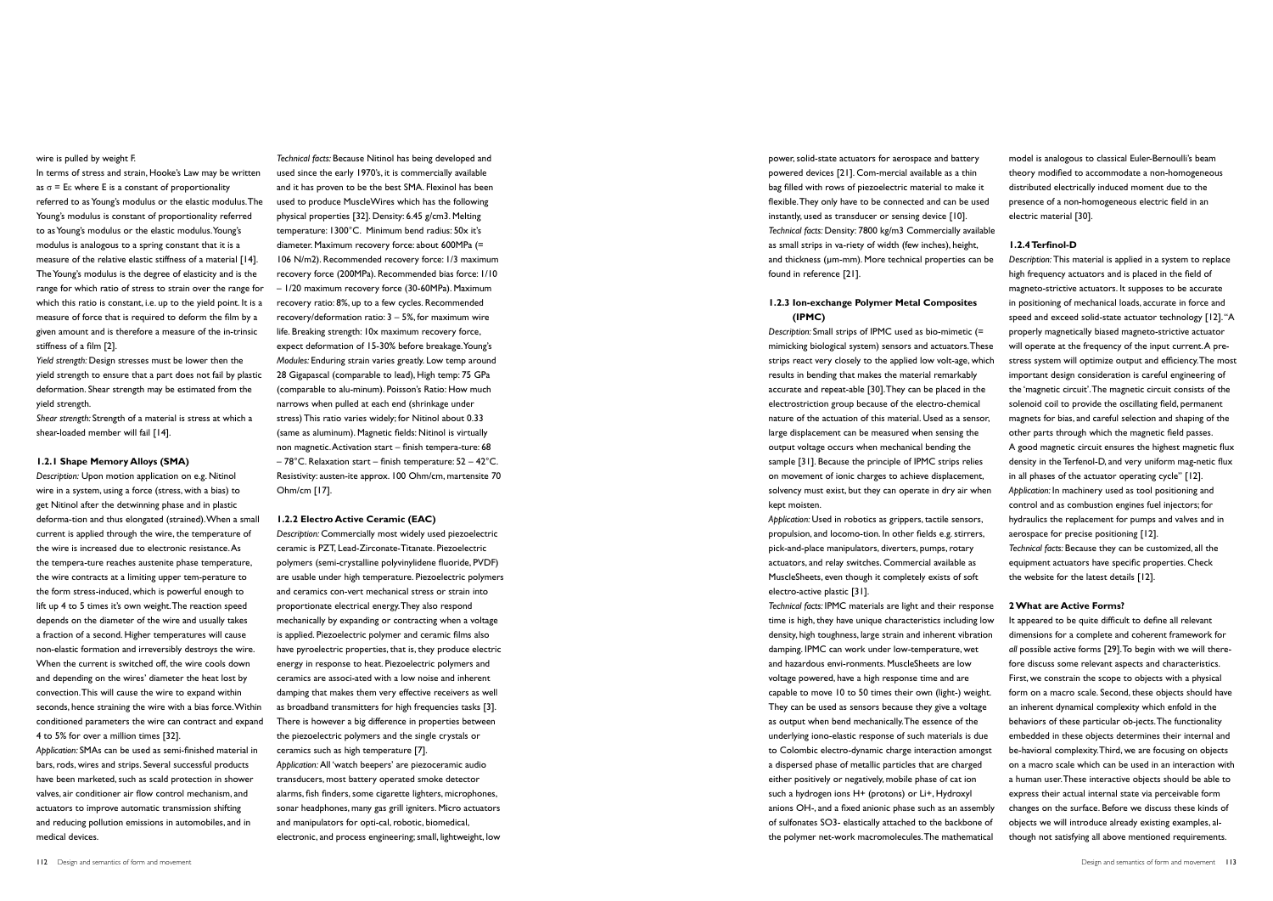power, solid-state actuators for aerospace and battery powered devices [21]. Com-mercial available as a thin bag filled with rows of piezoelectric material to make it flexible. They only have to be connected and can be used instantly, used as transducer or sensing device [10]. *Technical facts:* Density: 7800 kg/m3 Commercially available as small strips in va-riety of width (few inches), height, and thickness (µm-mm). More technical properties can be found in reference [21].

## **1.2.3 Ion-exchange Polymer Metal Composites (IPMC)**

*Description:* Small strips of IPMC used as bio-mimetic (= mimicking biological system) sensors and actuators. These strips react very closely to the applied low volt-age, which results in bending that makes the material remarkably accurate and repeat-able [30]. They can be placed in the electrostriction group because of the electro-chemical nature of the actuation of this material. Used as a sensor, large displacement can be measured when sensing the output voltage occurs when mechanical bending the sample [31]. Because the principle of IPMC strips relies on movement of ionic charges to achieve displacement, solvency must exist, but they can operate in dry air when kept moisten.

*Application:* Used in robotics as grippers, tactile sensors, propulsion, and locomo-tion. In other fields e.g. stirrers, pick-and-place manipulators, diverters, pumps, rotary actuators, and relay switches. Commercial available as MuscleSheets, even though it completely exists of soft electro-active plastic [31].

*Technical facts:* IPMC materials are light and their response time is high, they have unique characteristics including low density, high toughness, large strain and inherent vibration damping. IPMC can work under low-temperature, wet and hazardous envi-ronments. MuscleSheets are low voltage powered, have a high response time and are capable to move 10 to 50 times their own (light-) weight. They can be used as sensors because they give a voltage as output when bend mechanically. The essence of the underlying iono-elastic response of such materials is due to Colombic electro-dynamic charge interaction amongst a dispersed phase of metallic particles that are charged either positively or negatively, mobile phase of cat ion such a hydrogen ions H+ (protons) or Li+, Hydroxyl anions OH-, and a fixed anionic phase such as an assembly of sulfonates SO3- elastically attached to the backbone of the polymer net-work macromolecules. The mathematical

model is analogous to classical Euler-Bernoulli's beam theory modified to accommodate a non-homogeneous distributed electrically induced moment due to the presence of a non-homogeneous electric field in an electric material [30].

## **1.2.4 Terfinol-D**

*Description:* This material is applied in a system to replace high frequency actuators and is placed in the field of magneto-strictive actuators. It supposes to be accurate in positioning of mechanical loads, accurate in force and speed and exceed solid-state actuator technology [12]. "A properly magnetically biased magneto-strictive actuator will operate at the frequency of the input current. A prestress system will optimize output and efficiency. The most important design consideration is careful engineering of the 'magnetic circuit'. The magnetic circuit consists of the solenoid coil to provide the oscillating field, permanent magnets for bias, and careful selection and shaping of the other parts through which the magnetic field passes. A good magnetic circuit ensures the highest magnetic flux density in the Terfenol-D, and very uniform mag-netic flux in all phases of the actuator operating cycle" [12]. *Application:* In machinery used as tool positioning and control and as combustion engines fuel injectors; for hydraulics the replacement for pumps and valves and in aerospace for precise positioning [12]. *Technical facts:* Because they can be customized, all the equipment actuators have specific properties. Check

the website for the latest details [12].

**2 What are Active Forms?**

It appeared to be quite difficult to define all relevant dimensions for a complete and coherent framework for *all* possible active forms [29]. To begin with we will therefore discuss some relevant aspects and characteristics. First, we constrain the scope to objects with a physical form on a macro scale. Second, these objects should have an inherent dynamical complexity which enfold in the behaviors of these particular ob-jects. The functionality embedded in these objects determines their internal and be-havioral complexity. Third, we are focusing on objects on a macro scale which can be used in an interaction with a human user. These interactive objects should be able to express their actual internal state via perceivable form changes on the surface. Before we discuss these kinds of objects we will introduce already existing examples, although not satisfying all above mentioned requirements.

wire is pulled by weight F.

In terms of stress and strain, Hooke's Law may be written as  $\sigma$  = E $\varepsilon$  where E is a constant of proportionality referred to as Young's modulus or the elastic modulus. The Young's modulus is constant of proportionality referred to as Young's modulus or the elastic modulus. Young's modulus is analogous to a spring constant that it is a measure of the relative elastic stiffness of a material [14]. The Young's modulus is the degree of elasticity and is the range for which ratio of stress to strain over the range for which this ratio is constant, i.e. up to the yield point. It is a measure of force that is required to deform the film by a given amount and is therefore a measure of the in-trinsic stiffness of a film [2].

*Yield strength:* Design stresses must be lower then the yield strength to ensure that a part does not fail by plastic deformation. Shear strength may be estimated from the yield strength.

*Shear strength:* Strength of a material is stress at which a shear-loaded member will fail [14].

## **1.2.1 Shape Memory Alloys (SMA)**

*Description:* Upon motion application on e.g. Nitinol wire in a system, using a force (stress, with a bias) to get Nitinol after the detwinning phase and in plastic deforma-tion and thus elongated (strained). When a small current is applied through the wire, the temperature of the wire is increased due to electronic resistance. As the tempera-ture reaches austenite phase temperature, the wire contracts at a limiting upper tem-perature to the form stress-induced, which is powerful enough to lift up 4 to 5 times it's own weight. The reaction speed depends on the diameter of the wire and usually takes a fraction of a second. Higher temperatures will cause non-elastic formation and irreversibly destroys the wire. When the current is switched off, the wire cools down and depending on the wires' diameter the heat lost by convection. This will cause the wire to expand within seconds, hence straining the wire with a bias force. Within conditioned parameters the wire can contract and expand 4 to 5% for over a million times [32].

*Application:* SMAs can be used as semi-finished material in bars, rods, wires and strips. Several successful products have been marketed, such as scald protection in shower valves, air conditioner air flow control mechanism, and actuators to improve automatic transmission shifting and reducing pollution emissions in automobiles, and in medical devices.

*Technical facts:* Because Nitinol has being developed and used since the early 1970's, it is commercially available and it has proven to be the best SMA. Flexinol has been used to produce MuscleWires which has the following physical properties [32]. Density: 6.45 g/cm3. Melting temperature: 1300°C. Minimum bend radius: 50x it's diameter. Maximum recovery force: about 600MPa (= 106 N/m2). Recommended recovery force: 1/3 maximum recovery force (200MPa). Recommended bias force: 1/10 – 1/20 maximum recovery force (30-60MPa). Maximum recovery ratio: 8%, up to a few cycles. Recommended recovery/deformation ratio:  $3 - 5%$ , for maximum wire life. Breaking strength: 10x maximum recovery force, expect deformation of 15-30% before breakage. Young's *Modules:* Enduring strain varies greatly. Low temp around 28 Gigapascal (comparable to lead), High temp: 75 GPa (comparable to alu-minum). Poisson's Ratio: How much narrows when pulled at each end (shrinkage under stress) This ratio varies widely; for Nitinol about 0.33 (same as aluminum). Magnetic fields: Nitinol is virtually non magnetic. Activation start – finish tempera-ture: 68 – 78°C. Relaxation start – finish temperature: 52 – 42°C. Resistivity: austen-ite approx. 100 Ohm/cm, martensite 70 Ohm/cm [17].

### **1.2.2 Electro Active Ceramic (EAC)**

*Description:* Commercially most widely used piezoelectric ceramic is PZT, Lead-Zirconate-Titanate. Piezoelectric polymers (semi-crystalline polyvinylidene fluoride, PVDF) are usable under high temperature. Piezoelectric polymers and ceramics con-vert mechanical stress or strain into proportionate electrical energy. They also respond mechanically by expanding or contracting when a voltage is applied. Piezoelectric polymer and ceramic films also have pyroelectric properties, that is, they produce electric energy in response to heat. Piezoelectric polymers and ceramics are associ-ated with a low noise and inherent damping that makes them very effective receivers as well as broadband transmitters for high frequencies tasks [3]. There is however a big difference in properties between the piezoelectric polymers and the single crystals or ceramics such as high temperature [7]. *Application:* All 'watch beepers' are piezoceramic audio transducers, most battery operated smoke detector alarms, fish finders, some cigarette lighters, microphones, sonar headphones, many gas grill igniters. Micro actuators and manipulators for opti-cal, robotic, biomedical,

electronic, and process engineering; small, lightweight, low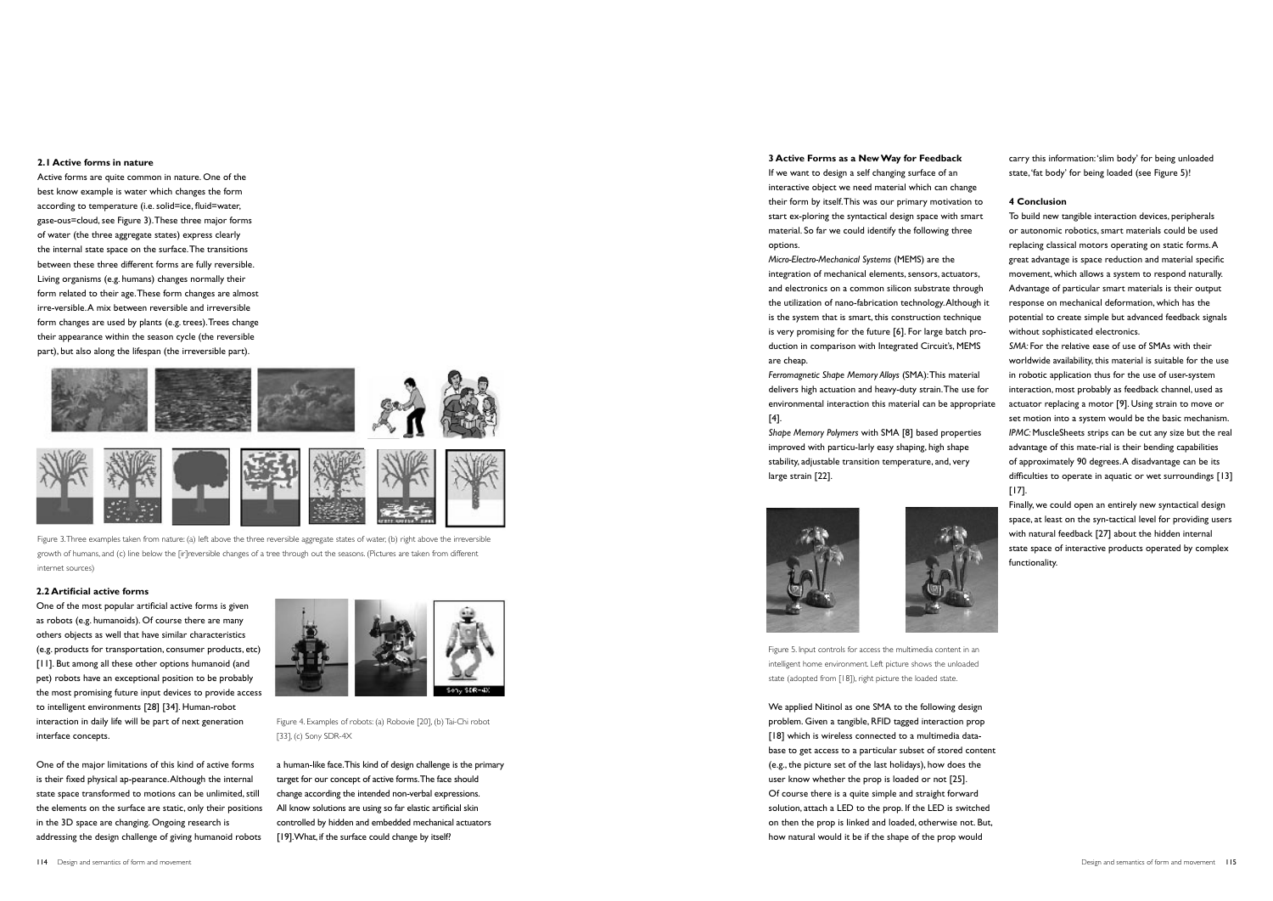

If we want to design a self changing surface of an interactive object we need material which can change their form by itself. This was our primary motivation to start ex-ploring the syntactical design space with smart material. So far we could identify the following three options.

*Micro-Electro-Mechanical Systems* (MEMS) are the integration of mechanical elements, sensors, actuators, and electronics on a common silicon substrate through the utilization of nano-fabrication technology. Although it is the system that is smart, this construction technique is very promising for the future [6]. For large batch production in comparison with Integrated Circuit's, MEMS are cheap.

*Ferromagnetic Shape Memory Alloys* (SMA): This material delivers high actuation and heavy-duty strain. The use for environmental interaction this material can be appropriate [4].

*Shape Memory Polymers* with SMA [8] based properties improved with particu-larly easy shaping, high shape stability, adjustable transition temperature, and, very large strain [22].





Figure 5. Input controls for access the multimedia content in an intelligent home environment. Left picture shows the unloaded state (adopted from [18]), right picture the loaded state.

We applied Nitinol as one SMA to the following design problem. Given a tangible, RFID tagged interaction prop [18] which is wireless connected to a multimedia database to get access to a particular subset of stored content (e.g., the picture set of the last holidays), how does the user know whether the prop is loaded or not [25]. Of course there is a quite simple and straight forward solution, attach a LED to the prop. If the LED is switched on then the prop is linked and loaded, otherwise not. But, how natural would it be if the shape of the prop would



carry this information: 'slim body' for being unloaded state, 'fat body' for being loaded (see Figure 5)!

## **4 Conclusion**

To build new tangible interaction devices, peripherals or autonomic robotics, smart materials could be used replacing classical motors operating on static forms. A great advantage is space reduction and material specific movement, which allows a system to respond naturally. Advantage of particular smart materials is their output response on mechanical deformation, which has the potential to create simple but advanced feedback signals without sophisticated electronics.

a human-like face. This kind of design challenge is the primary target for our concept of active forms. The face should change according the intended non-verbal expressions. All know solutions are using so far elastic artificial skin controlled by hidden and embedded mechanical actuators [19]. What, if the surface could change by itself?

*SMA:* For the relative ease of use of SMAs with their worldwide availability, this material is suitable for the use in robotic application thus for the use of user-system interaction, most probably as feedback channel, used as actuator replacing a motor [9]. Using strain to move or set motion into a system would be the basic mechanism. *IPMC:* MuscleSheets strips can be cut any size but the real advantage of this mate-rial is their bending capabilities of approximately 90 degrees. A disadvantage can be its difficulties to operate in aquatic or wet surroundings [13] [17].

Finally, we could open an entirely new syntactical design space, at least on the syn-tactical level for providing users with natural feedback [27] about the hidden internal state space of interactive products operated by complex functionality.

## **2.1 Active forms in nature**

Active forms are quite common in nature. One of the best know example is water which changes the form according to temperature (i.e. solid=ice, fluid=water, gase-ous=cloud, see Figure 3). These three major forms of water (the three aggregate states) express clearly the internal state space on the surface. The transitions between these three different forms are fully reversible. Living organisms (e.g. humans) changes normally their form related to their age. These form changes are almost irre-versible. A mix between reversible and irreversible form changes are used by plants (e.g. trees). Trees change their appearance within the season cycle (the reversible part), but also along the lifespan (the irreversible part).



Figure 3. Three examples taken from nature: (a) left above the three reversible aggregate states of water, (b) right above the irreversible growth of humans, and (c) line below the [ir]reversible changes of a tree through out the seasons. (Pictures are taken from different internet sources)

## **2.2 Artificial active forms**

One of the most popular artificial active forms is given as robots (e.g. humanoids). Of course there are many others objects as well that have similar characteristics (e.g. products for transportation, consumer products, etc) [11]. But among all these other options humanoid (and pet) robots have an exceptional position to be probably the most promising future input devices to provide access to intelligent environments [28] [34]. Human-robot interaction in daily life will be part of next generation interface concepts.

One of the major limitations of this kind of active forms is their fixed physical ap-pearance. Although the internal state space transformed to motions can be unlimited, still the elements on the surface are static, only their positions in the 3D space are changing. Ongoing research is addressing the design challenge of giving humanoid robots



Figure 4. Examples of robots: (a) Robovie [20], (b) Tai-Chi robot [33], (c) Sony SDR-4X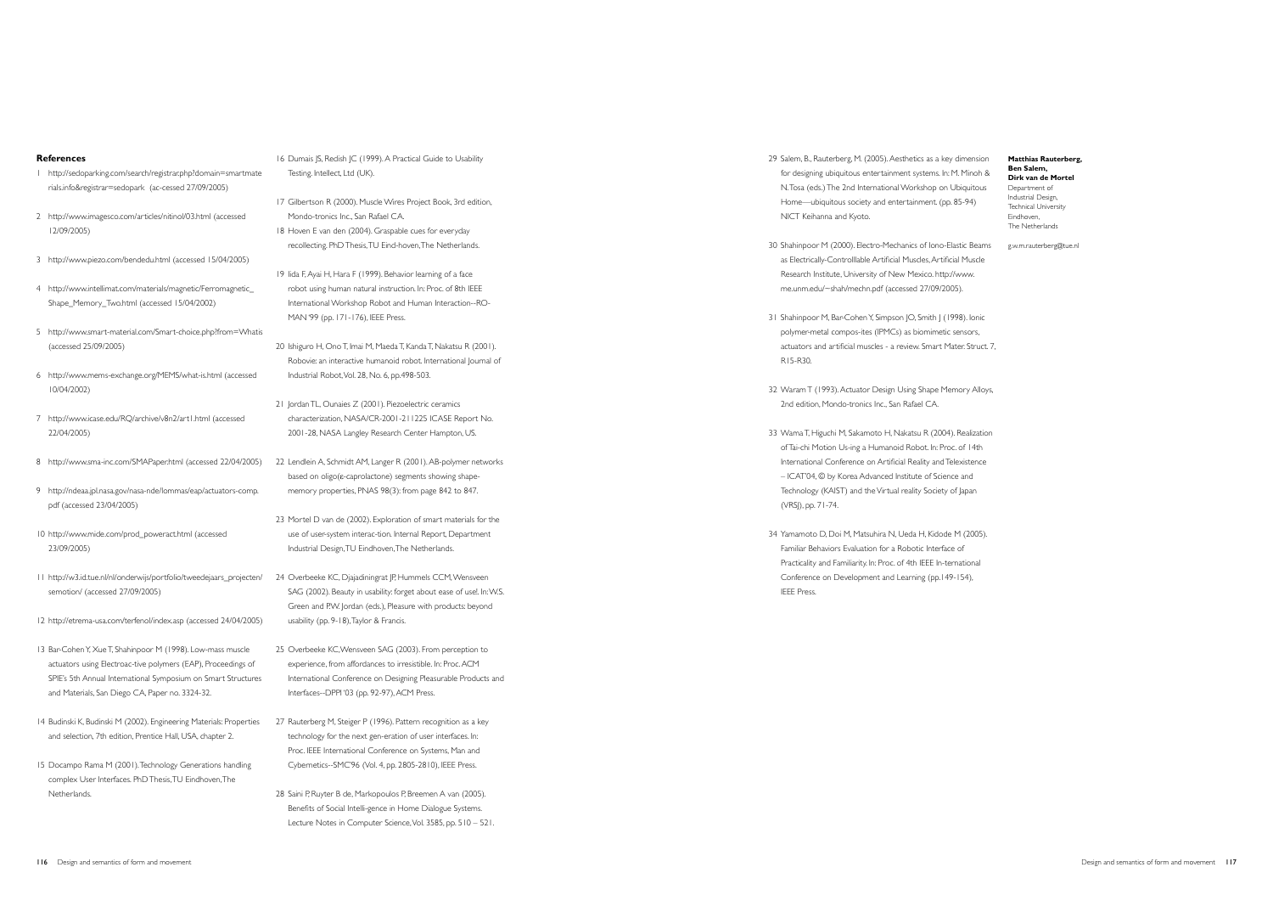## **References**

- 1 http://sedoparking.com/search/registrar.php?domain=smartmate rials.info&registrar=sedopark (ac-cessed 27/09/2005)
- 2 http://www.imagesco.com/articles/nitinol/03.html (accessed 12/09/2005)
- 3 http://www.piezo.com/bendedu.html (accessed 15/04/2005)
- 4 http://www.intellimat.com/materials/magnetic/Ferromagnetic\_ Shape\_Memory\_Two.html (accessed 15/04/2002)
- 5 http://www.smart-material.com/Smart-choice.php?from=Whatis (accessed 25/09/2005)
- 6 http://www.mems-exchange.org/MEMS/what-is.html (accessed 10/04/2002)
- 7 http://www.icase.edu/RQ/archive/v8n2/art1.html (accessed 22/04/2005)
- 8 http://www.sma-inc.com/SMAPaper.html (accessed 22/04/2005)
- 9 http://ndeaa.jpl.nasa.gov/nasa-nde/lommas/eap/actuators-comp. pdf (accessed 23/04/2005)
- 10 http://www.mide.com/prod\_poweract.html (accessed 23/09/2005)
- 11 http://w3.id.tue.nl/nl/onderwijs/portfolio/tweedejaars\_projecten/ semotion/ (accessed 27/09/2005)
- 12 http://etrema-usa.com/terfenol/index.asp (accessed 24/04/2005)
- 13 Bar-Cohen Y, Xue T, Shahinpoor M (1998). Low-mass muscle actuators using Electroac-tive polymers (EAP), Proceedings of SPIE's 5th Annual International Symposium on Smart Structures and Materials, San Diego CA, Paper no. 3324-32.
- 14 Budinski K, Budinski M (2002). Engineering Materials: Properties and selection, 7th edition, Prentice Hall, USA, chapter 2.
- 15 Docampo Rama M (2001). Technology Generations handling complex User Interfaces. PhD Thesis, TU Eindhoven, The Netherlands.
- 16 Dumais JS, Redish JC (1999). A Practical Guide to Usability Testing. Intellect, Ltd (UK).
- 17 Gilbertson R (2000). Muscle Wires Project Book, 3rd edition, Mondo-tronics Inc., San Rafael CA.
- 18 Hoven E van den (2004). Graspable cues for everyday recollecting. PhD Thesis, TU Eind-hoven, The Netherlands.
- 19 Iida F, Ayai H, Hara F (1999). Behavior learning of a face robot using human natural instruction. In: Proc. of 8th IEEE International Workshop Robot and Human Interaction--RO-MAN '99 (pp. 171-176), IEEE Press.
- 20 Ishiguro H, Ono T, Imai M, Maeda T, Kanda T, Nakatsu R (2001). Robovie: an interactive humanoid robot. International Journal of Industrial Robot, Vol. 28, No. 6, pp.498-503.
- 21 Jordan TL, Ounaies Z (2001). Piezoelectric ceramics characterization, NASA/CR-2001-211225 ICASE Report No. 2001-28, NASA Langley Research Center Hampton, US.
- 22 Lendlein A, Schmidt AM, Langer R (2001). AB-polymer networks based on oligo(ε-caprolactone) segments showing shapememory properties, PNAS 98(3): from page 842 to 847.
- 23 Mortel D van de (2002). Exploration of smart materials for the use of user-system interac-tion. Internal Report, Department Industrial Design, TU Eindhoven, The Netherlands.
- 24 Overbeeke KC, Djajadiningrat JP, Hummels CCM, Wensveen SAG (2002). Beauty in usability: forget about ease of use!. In: W.S. Green and P.W. Jordan (eds.), Pleasure with products: beyond usability (pp. 9-18), Taylor & Francis.
- 25 Overbeeke KC,Wensveen SAG (2003). From perception to experience, from affordances to irresistible. In: Proc. ACM International Conference on Designing Pleasurable Products and Interfaces--DPPI '03 (pp. 92-97), ACM Press.
- 27 Rauterberg M, Steiger P (1996). Pattern recognition as a key technology for the next gen-eration of user interfaces. In: Proc. IEEE International Conference on Systems, Man and Cybernetics--SMC'96 (Vol. 4, pp. 2805-2810), IEEE Press.
- 28 Saini P, Ruyter B de, Markopoulos P, Breemen A van (2005). Benefits of Social Intelli-gence in Home Dialogue Systems. Lecture Notes in Computer Science, Vol. 3585, pp. 510 – 521.
- 29 Salem, B., Rauterberg, M. (2005). Aesthetics as a key dimension for designing ubiquitous entertainment systems. In: M. Minoh & N. Tosa (eds.) The 2nd International Workshop on Ubiquitous Home—ubiquitous society and entertainment. (pp. 85-94) NICT Keihanna and Kyoto.
- 30 Shahinpoor M (2000). Electro-Mechanics of Iono-Elastic Beams as Electrically-Controlllable Artificial Muscles, Artificial Muscle Research Institute, University of New Mexico. http://www. me.unm.edu/~shah/mechn.pdf (accessed 27/09/2005).
- 31 Shahinpoor M, Bar-Cohen Y, Simpson JO, Smith J (1998). Ionic polymer-metal compos-ites (IPMCs) as biomimetic sensors, actuators and artificial muscles - a review. Smart Mater. Struct. 7, R15-R30.
- 32 Waram T (1993). Actuator Design Using Shape Memory Alloys, 2nd edition, Mondo-tronics Inc., San Rafael CA.
- 33 Wama T, Higuchi M, Sakamoto H, Nakatsu R (2004). Realization of Tai-chi Motion Us-ing a Humanoid Robot. In: Proc. of 14th International Conference on Artificial Reality and Telexistence – ICAT'04, © by Korea Advanced Institute of Science and Technology (KAIST) and the Virtual reality Society of Japan (VRSJ), pp. 71-74.
- 34 Yamamoto D, Doi M, Matsuhira N, Ueda H, Kidode M (2005). Familiar Behaviors Evaluation for a Robotic Interface of Practicality and Familiarity. In: Proc. of 4th IEEE In-ternational Conference on Development and Learning (pp.149-154), IEEE Press.

**Matthias Rauterberg, Ben Salem, Dirk van de Mortel** Department of Industrial Design, Technical University Eindhoven, The Netherlands

g.w.m.rauterberg@tue.nl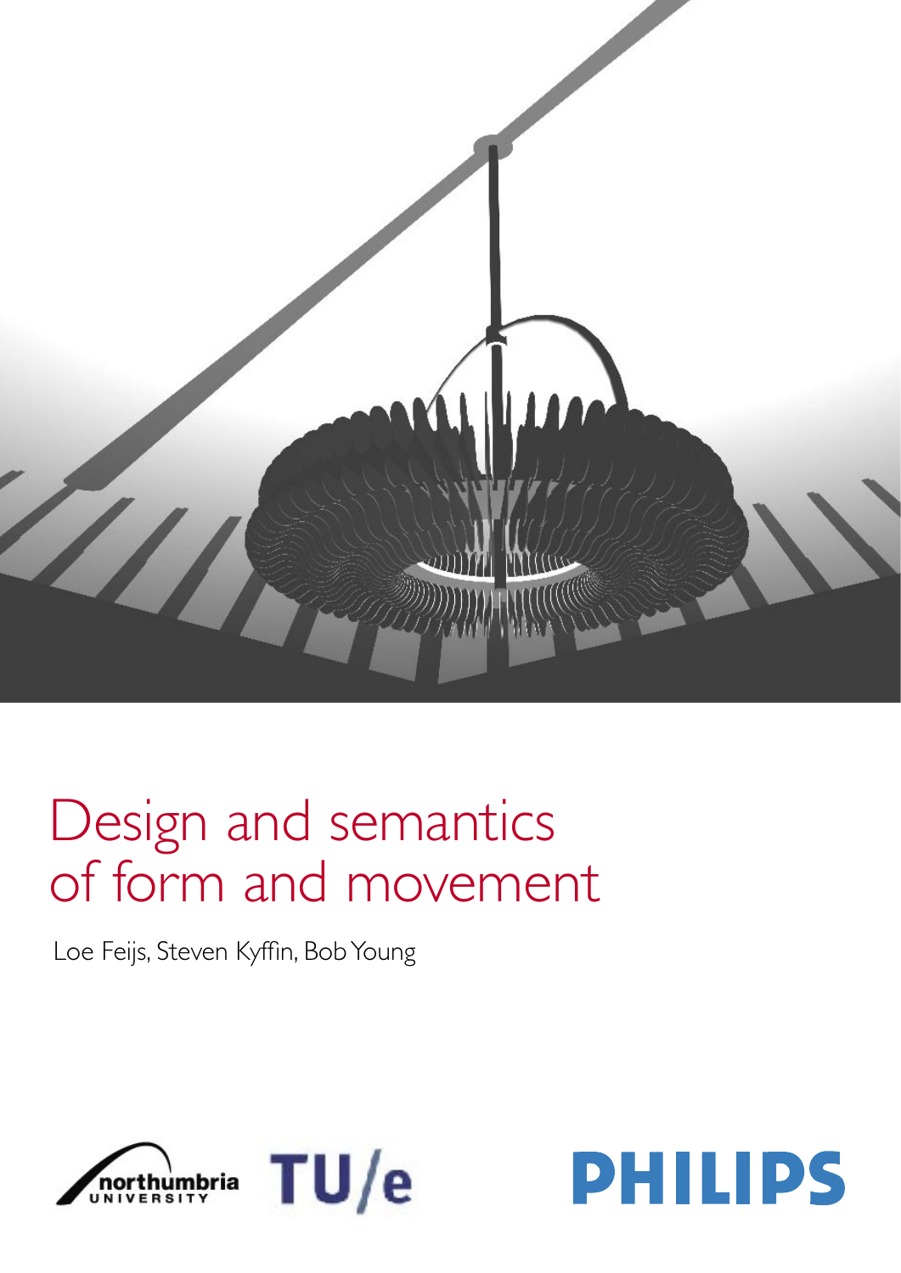

# Design and semantics of form and movement

Loe Feijs, Steven Kyffin, Bob Young